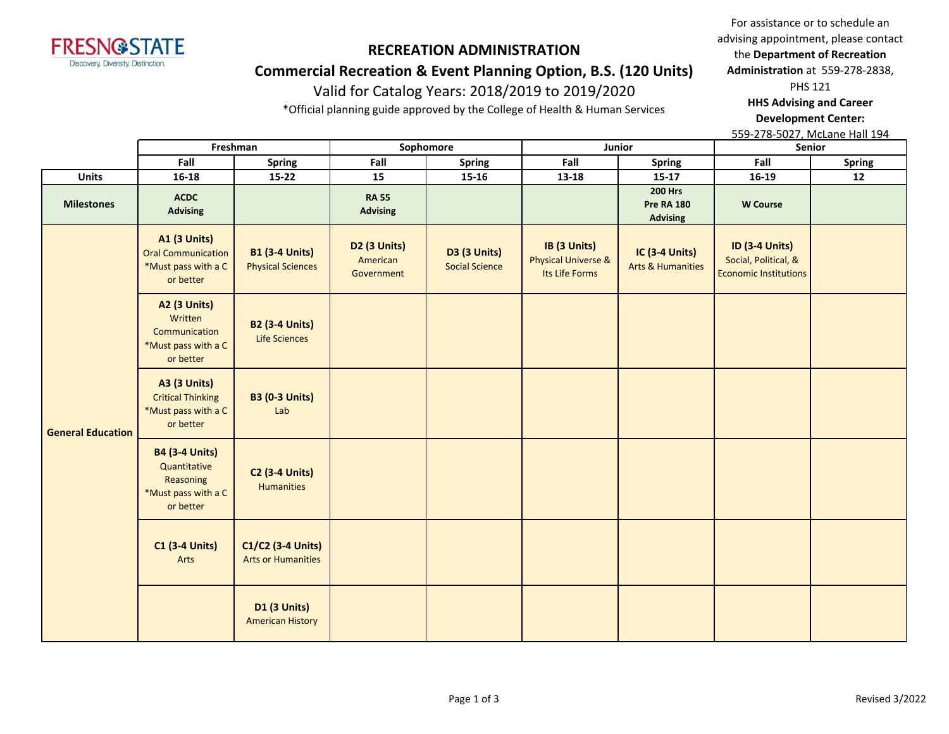

## **Commercial Recreation & Event Planning Option, B.S. (120 Units)**

# Valid for Catalog Years: 2018/2019 to 2019/2020

\*Official planning guide approved by the College of Health & Human Services

For assistance or to schedule an advising appointment, please contact the **Department of Recreation Administration** at 559-278-2838,

PHS 121

**HHS Advising and Career Development Center:** 

|                          | Freshman                                                                               |                                                   | Sophomore                              |                                              | Junior                                                           |                                                        | Senior                                                                        |               |
|--------------------------|----------------------------------------------------------------------------------------|---------------------------------------------------|----------------------------------------|----------------------------------------------|------------------------------------------------------------------|--------------------------------------------------------|-------------------------------------------------------------------------------|---------------|
|                          | Fall                                                                                   | <b>Spring</b>                                     | Fall                                   | <b>Spring</b>                                | Fall                                                             | <b>Spring</b>                                          | Fall                                                                          | <b>Spring</b> |
| <b>Units</b>             | 16-18                                                                                  | $15 - 22$                                         | 15                                     | $15 - 16$                                    | 13-18                                                            | $15 - 17$                                              | 16-19                                                                         | 12            |
| <b>Milestones</b>        | <b>ACDC</b><br><b>Advising</b>                                                         |                                                   | <b>RA 55</b><br><b>Advising</b>        |                                              |                                                                  | <b>200 Hrs</b><br><b>Pre RA 180</b><br><b>Advising</b> | <b>W</b> Course                                                               |               |
|                          | <b>A1 (3 Units)</b><br><b>Oral Communication</b><br>*Must pass with a C<br>or better   | <b>B1 (3-4 Units)</b><br><b>Physical Sciences</b> | D2 (3 Units)<br>American<br>Government | <b>D3 (3 Units)</b><br><b>Social Science</b> | IB (3 Units)<br><b>Physical Universe &amp;</b><br>Its Life Forms | IC (3-4 Units)<br><b>Arts &amp; Humanities</b>         | <b>ID (3-4 Units)</b><br>Social, Political, &<br><b>Economic Institutions</b> |               |
|                          | <b>A2 (3 Units)</b><br>Written<br>Communication<br>*Must pass with a C<br>or better    | <b>B2 (3-4 Units)</b><br>Life Sciences            |                                        |                                              |                                                                  |                                                        |                                                                               |               |
| <b>General Education</b> | <b>A3 (3 Units)</b><br><b>Critical Thinking</b><br>*Must pass with a C<br>or better    | <b>B3 (0-3 Units)</b><br>Lab                      |                                        |                                              |                                                                  |                                                        |                                                                               |               |
|                          | <b>B4 (3-4 Units)</b><br>Quantitative<br>Reasoning<br>*Must pass with a C<br>or better | <b>C2 (3-4 Units)</b><br><b>Humanities</b>        |                                        |                                              |                                                                  |                                                        |                                                                               |               |
|                          | <b>C1 (3-4 Units)</b><br>Arts                                                          | C1/C2 (3-4 Units)<br><b>Arts or Humanities</b>    |                                        |                                              |                                                                  |                                                        |                                                                               |               |
|                          |                                                                                        | D1 (3 Units)<br><b>American History</b>           |                                        |                                              |                                                                  |                                                        |                                                                               |               |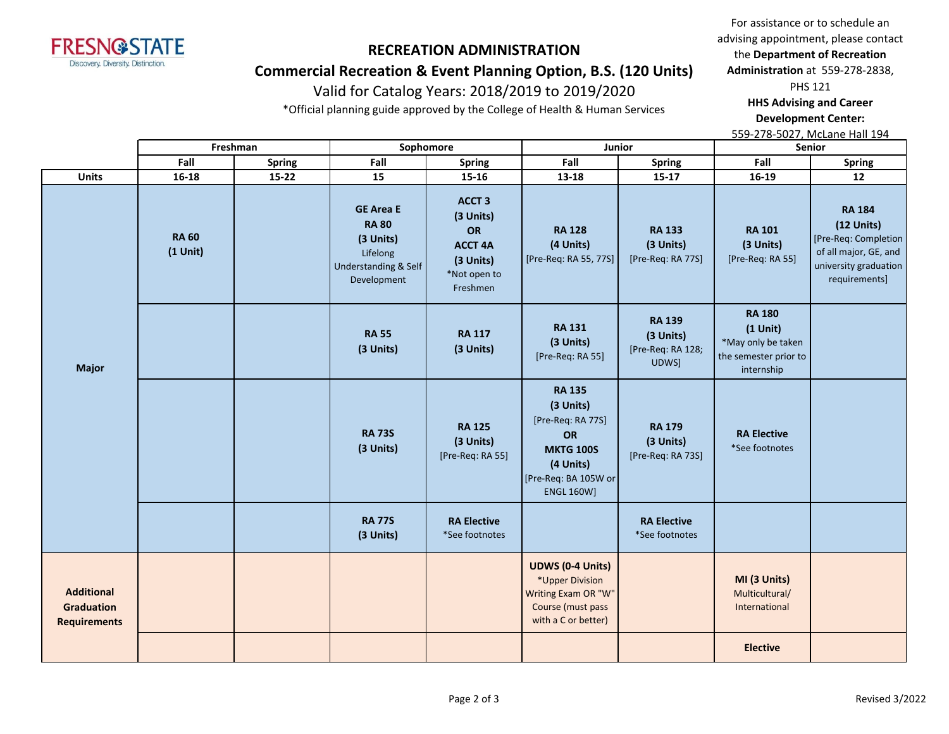

## **Commercial Recreation & Event Planning Option, B.S. (120 Units)**

# Valid for Catalog Years: 2018/2019 to 2019/2020

\*Official planning guide approved by the College of Health & Human Services

For assistance or to schedule an advising appointment, please contact the **Department of Recreation Administration** at 559-278-2838,

PHS 121

**HHS Advising and Career Development Center:** 

|                                                               |                            | Freshman      | Sophomore                                                                                        |                                                                                                 | Junior                                                                                                                                     |                                                          | Senior                                                                                   |                                                                                                                          |
|---------------------------------------------------------------|----------------------------|---------------|--------------------------------------------------------------------------------------------------|-------------------------------------------------------------------------------------------------|--------------------------------------------------------------------------------------------------------------------------------------------|----------------------------------------------------------|------------------------------------------------------------------------------------------|--------------------------------------------------------------------------------------------------------------------------|
|                                                               | Fall                       | <b>Spring</b> | Fall                                                                                             | <b>Spring</b>                                                                                   | Fall                                                                                                                                       | Spring                                                   | Fall                                                                                     | <b>Spring</b>                                                                                                            |
| <b>Units</b>                                                  | $16 - 18$                  | $15 - 22$     | 15                                                                                               | $15 - 16$                                                                                       | 13-18                                                                                                                                      | $15 - 17$                                                | 16-19                                                                                    | 12                                                                                                                       |
|                                                               | <b>RA 60</b><br>$(1$ Unit) |               | <b>GE Area E</b><br><b>RA 80</b><br>(3 Units)<br>Lifelong<br>Understanding & Self<br>Development | ACCT <sub>3</sub><br>(3 Units)<br>OR<br><b>ACCT 4A</b><br>(3 Units)<br>*Not open to<br>Freshmen | <b>RA 128</b><br>(4 Units)<br>[Pre-Req: RA 55, 77S]                                                                                        | <b>RA 133</b><br>(3 Units)<br>[Pre-Req: RA 77S]          | <b>RA 101</b><br>(3 Units)<br>[Pre-Req: RA 55]                                           | <b>RA 184</b><br>$(12$ Units)<br>[Pre-Req: Completion<br>of all major, GE, and<br>university graduation<br>requirements] |
| <b>Major</b>                                                  |                            |               | <b>RA 55</b><br>(3 Units)                                                                        | <b>RA 117</b><br>(3 Units)                                                                      | <b>RA 131</b><br>(3 Units)<br>[Pre-Req: RA 55]                                                                                             | <b>RA 139</b><br>(3 Units)<br>[Pre-Req: RA 128;<br>UDWS] | <b>RA 180</b><br>$(1$ Unit)<br>*May only be taken<br>the semester prior to<br>internship |                                                                                                                          |
|                                                               |                            |               | <b>RA 73S</b><br>(3 Units)                                                                       | <b>RA 125</b><br>(3 Units)<br>[Pre-Req: RA 55]                                                  | <b>RA 135</b><br>(3 Units)<br>[Pre-Req: RA 77S]<br><b>OR</b><br><b>MKTG 100S</b><br>(4 Units)<br>[Pre-Req: BA 105W or<br><b>ENGL 160W]</b> | <b>RA 179</b><br>(3 Units)<br>[Pre-Req: RA 73S]          | <b>RA Elective</b><br>*See footnotes                                                     |                                                                                                                          |
|                                                               |                            |               | <b>RA 77S</b><br>(3 Units)                                                                       | <b>RA Elective</b><br>*See footnotes                                                            |                                                                                                                                            | <b>RA Elective</b><br>*See footnotes                     |                                                                                          |                                                                                                                          |
| <b>Additional</b><br><b>Graduation</b><br><b>Requirements</b> |                            |               |                                                                                                  |                                                                                                 | <b>UDWS (0-4 Units)</b><br>*Upper Division<br>Writing Exam OR "W"<br>Course (must pass<br>with a C or better)                              |                                                          | MI (3 Units)<br>Multicultural/<br>International                                          |                                                                                                                          |
|                                                               |                            |               |                                                                                                  |                                                                                                 |                                                                                                                                            |                                                          | <b>Elective</b>                                                                          |                                                                                                                          |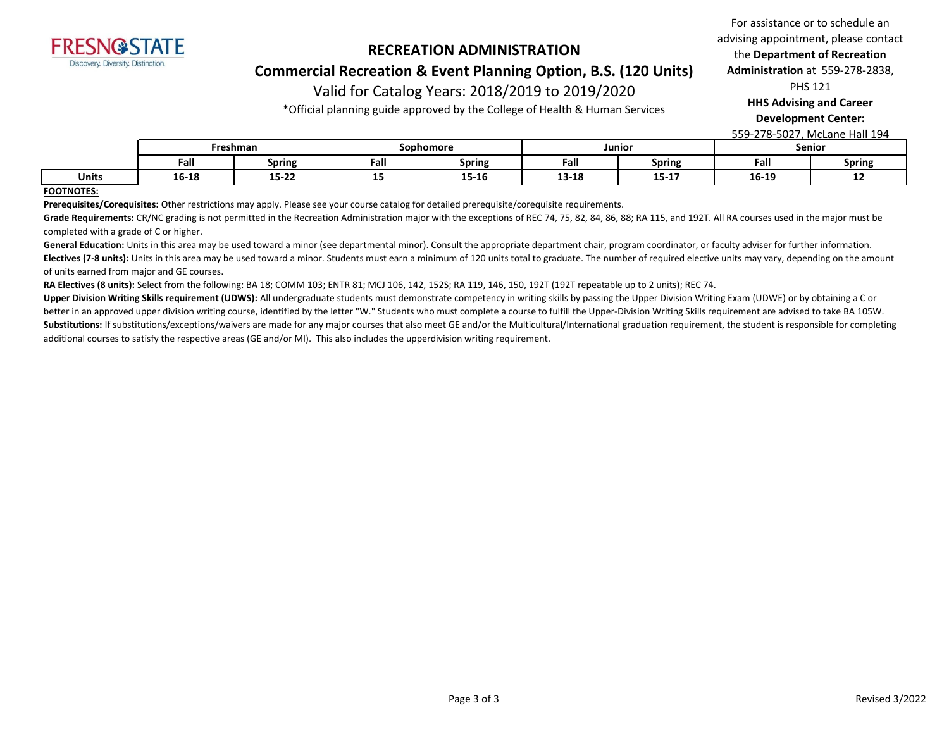

#### **Commercial Recreation & Event Planning Option, B.S. (120 Units)**

# Valid for Catalog Years: 2018/2019 to 2019/2020

\*Official planning guide approved by the College of Health & Human Services

For assistance or to schedule an advising appointment, please contact the **Department of Recreation Administration** at 559-278-2838,

PHS 121

**HHS Advising and Career** 

**Development Center:** 

559-278-5027, McLane Hall 194

|              | Freshman  |               | Sophomore |               | Junior |                   | Senior |               |
|--------------|-----------|---------------|-----------|---------------|--------|-------------------|--------|---------------|
|              | Fall      | <b>Spring</b> | Fall      | <b>Spring</b> | Fall   | <b>Spring</b>     | Fall   | <b>Spring</b> |
| <b>Units</b> | $16 - 18$ | $15 - 22$     | --        | 15-16         | 13-18  | 4 P. 4 7<br>15-17 | 16-19  | --            |

#### **FOOTNOTES:**

**Prerequisites/Corequisites:** Other restrictions may apply. Please see your course catalog for detailed prerequisite/corequisite requirements.

Grade Requirements: CR/NC grading is not permitted in the Recreation Administration major with the exceptions of REC 74, 75, 82, 84, 86, 88; RA 115, and 192T. All RA courses used in the major must be completed with a grade of C or higher.

General Education: Units in this area may be used toward a minor (see departmental minor). Consult the appropriate department chair, program coordinator, or faculty adviser for further information. Electives (7-8 units): Units in this area may be used toward a minor. Students must earn a minimum of 120 units total to graduate. The number of required elective units may vary, depending on the amount of units earned from major and GE courses.

**RA Electives (8 units):** Select from the following: BA 18; COMM 103; ENTR 81; MCJ 106, 142, 152S; RA 119, 146, 150, 192T (192T repeatable up to 2 units); REC 74.

Upper Division Writing Skills requirement (UDWS): All undergraduate students must demonstrate competency in writing skills by passing the Upper Division Writing Exam (UDWE) or by obtaining a C or better in an approved upper division writing course, identified by the letter "W." Students who must complete a course to fulfill the Upper-Division Writing Skills requirement are advised to take BA 105W. Substitutions: If substitutions/exceptions/waivers are made for any major courses that also meet GE and/or the Multicultural/International graduation requirement, the student is responsible for completing additional courses to satisfy the respective areas (GE and/or MI). This also includes the upperdivision writing requirement.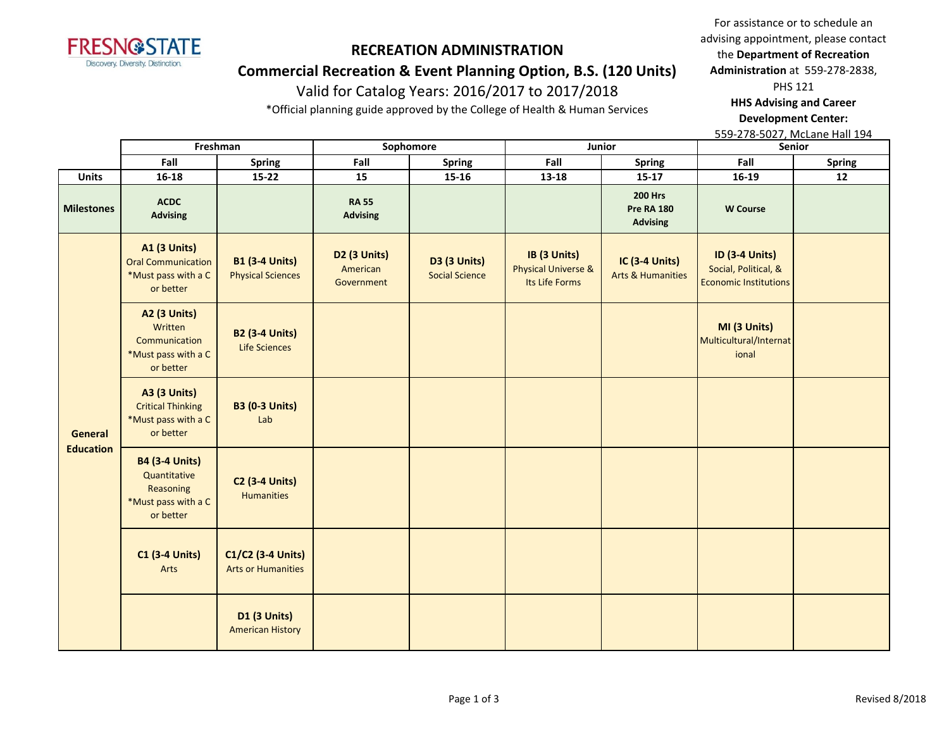

## **Commercial Recreation & Event Planning Option, B.S. (120 Units)**

# Valid for Catalog Years: 2016/2017 to 2017/2018

\*Official planning guide approved by the College of Health & Human Services

For assistance or to schedule an advising appointment, please contact the **Department of Recreation Administration** at 559-278-2838, PHS 121 **HHS Advising and Career Development Center:** 

|                   |                                                                                        | Freshman                                          | Sophomore                                          |                                              |                                                                  | Junior                                                 | Senior                                                                        |               |
|-------------------|----------------------------------------------------------------------------------------|---------------------------------------------------|----------------------------------------------------|----------------------------------------------|------------------------------------------------------------------|--------------------------------------------------------|-------------------------------------------------------------------------------|---------------|
|                   | Fall                                                                                   | <b>Spring</b>                                     | Fall                                               | <b>Spring</b>                                | Fall                                                             | <b>Spring</b>                                          | Fall                                                                          | <b>Spring</b> |
| <b>Units</b>      | $16 - 18$                                                                              | $15 - 22$                                         | 15                                                 | 15-16                                        | 13-18                                                            | $15-17$                                                | 16-19                                                                         | 12            |
| <b>Milestones</b> | <b>ACDC</b><br><b>Advising</b>                                                         |                                                   | <b>RA 55</b><br><b>Advising</b>                    |                                              |                                                                  | <b>200 Hrs</b><br><b>Pre RA 180</b><br><b>Advising</b> | <b>W</b> Course                                                               |               |
| General           | <b>A1 (3 Units)</b><br><b>Oral Communication</b><br>*Must pass with a C<br>or better   | <b>B1 (3-4 Units)</b><br><b>Physical Sciences</b> | D <sub>2</sub> (3 Units)<br>American<br>Government | <b>D3 (3 Units)</b><br><b>Social Science</b> | IB (3 Units)<br><b>Physical Universe &amp;</b><br>Its Life Forms | <b>IC (3-4 Units)</b><br><b>Arts &amp; Humanities</b>  | <b>ID (3-4 Units)</b><br>Social, Political, &<br><b>Economic Institutions</b> |               |
|                   | <b>A2 (3 Units)</b><br>Written<br>Communication<br>*Must pass with a C<br>or better    | <b>B2 (3-4 Units)</b><br><b>Life Sciences</b>     |                                                    |                                              |                                                                  |                                                        | MI (3 Units)<br>Multicultural/Internat<br>ional                               |               |
|                   | <b>A3 (3 Units)</b><br><b>Critical Thinking</b><br>*Must pass with a C<br>or better    | <b>B3 (0-3 Units)</b><br>Lab                      |                                                    |                                              |                                                                  |                                                        |                                                                               |               |
| <b>Education</b>  | <b>B4 (3-4 Units)</b><br>Quantitative<br>Reasoning<br>*Must pass with a C<br>or better | <b>C2 (3-4 Units)</b><br>Humanities               |                                                    |                                              |                                                                  |                                                        |                                                                               |               |
|                   | <b>C1 (3-4 Units)</b><br>Arts                                                          | C1/C2 (3-4 Units)<br><b>Arts or Humanities</b>    |                                                    |                                              |                                                                  |                                                        |                                                                               |               |
|                   |                                                                                        | <b>D1 (3 Units)</b><br><b>American History</b>    |                                                    |                                              |                                                                  |                                                        |                                                                               |               |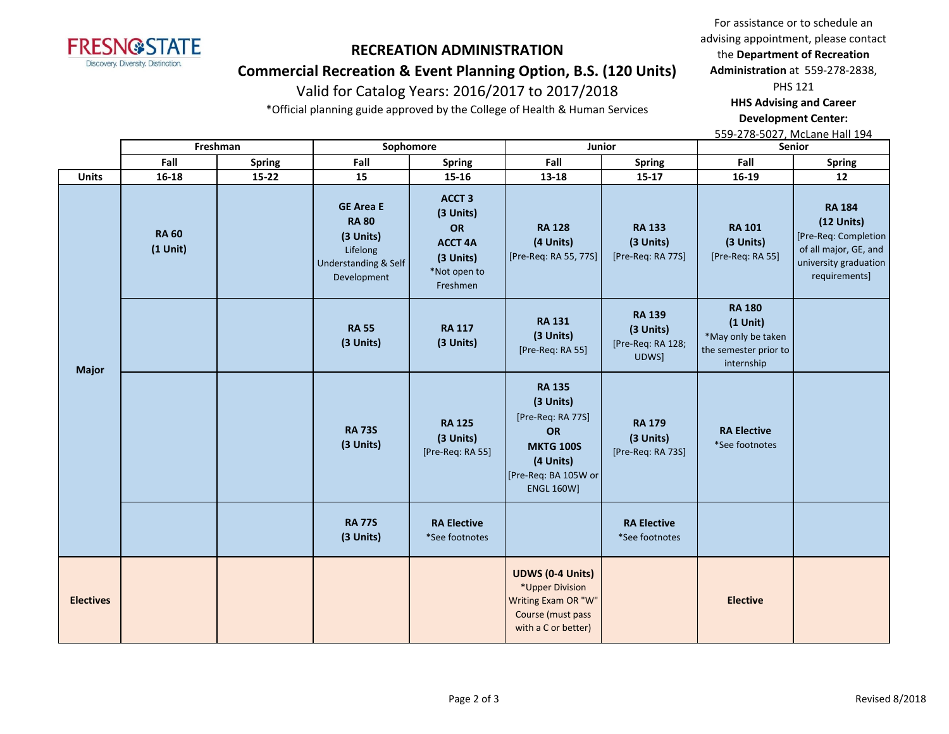

## **Commercial Recreation & Event Planning Option, B.S. (120 Units)**

# Valid for Catalog Years: 2016/2017 to 2017/2018

\*Official planning guide approved by the College of Health & Human Services

For assistance or to schedule an advising appointment, please contact the **Department of Recreation Administration** at 559-278-2838, PHS 121 **HHS Advising and Career Development Center:** 

|                  | Freshman                   |               | Sophomore                                                                                        |                                                                                             | Junior                                                                                                                              |                                                          | Senior                                                                                   |                                                                                                                          |
|------------------|----------------------------|---------------|--------------------------------------------------------------------------------------------------|---------------------------------------------------------------------------------------------|-------------------------------------------------------------------------------------------------------------------------------------|----------------------------------------------------------|------------------------------------------------------------------------------------------|--------------------------------------------------------------------------------------------------------------------------|
|                  | Fall                       | <b>Spring</b> | Fall                                                                                             | <b>Spring</b>                                                                               | Fall                                                                                                                                | <b>Spring</b>                                            | Fall                                                                                     | <b>Spring</b>                                                                                                            |
| <b>Units</b>     | 16-18                      | $15 - 22$     | 15                                                                                               | 15-16                                                                                       | $13 - 18$                                                                                                                           | $15 - 17$                                                | 16-19                                                                                    | 12                                                                                                                       |
| <b>Major</b>     | <b>RA 60</b><br>$(1$ Unit) |               | <b>GE Area E</b><br><b>RA 80</b><br>(3 Units)<br>Lifelong<br>Understanding & Self<br>Development | <b>ACCT 3</b><br>(3 Units)<br>OR<br><b>ACCT 4A</b><br>(3 Units)<br>*Not open to<br>Freshmen | <b>RA 128</b><br>(4 Units)<br>[Pre-Req: RA 55, 77S]                                                                                 | <b>RA 133</b><br>(3 Units)<br>[Pre-Req: RA 77S]          | <b>RA 101</b><br>(3 Units)<br>[Pre-Req: RA 55]                                           | <b>RA 184</b><br>$(12$ Units)<br>[Pre-Req: Completion<br>of all major, GE, and<br>university graduation<br>requirements] |
|                  |                            |               | <b>RA 55</b><br>(3 Units)                                                                        | <b>RA 117</b><br>(3 Units)                                                                  | <b>RA 131</b><br>(3 Units)<br>[Pre-Req: RA 55]                                                                                      | <b>RA 139</b><br>(3 Units)<br>[Pre-Req: RA 128;<br>UDWS] | <b>RA 180</b><br>$(1$ Unit)<br>*May only be taken<br>the semester prior to<br>internship |                                                                                                                          |
|                  |                            |               | <b>RA 73S</b><br>(3 Units)                                                                       | <b>RA 125</b><br>(3 Units)<br>[Pre-Req: RA 55]                                              | <b>RA 135</b><br>(3 Units)<br>[Pre-Req: RA 77S]<br>OR<br><b>MKTG 100S</b><br>(4 Units)<br>[Pre-Req: BA 105W or<br><b>ENGL 160W]</b> | <b>RA 179</b><br>(3 Units)<br>[Pre-Req: RA 73S]          | <b>RA Elective</b><br>*See footnotes                                                     |                                                                                                                          |
|                  |                            |               | <b>RA 77S</b><br>(3 Units)                                                                       | <b>RA Elective</b><br>*See footnotes                                                        |                                                                                                                                     | <b>RA Elective</b><br>*See footnotes                     |                                                                                          |                                                                                                                          |
| <b>Electives</b> |                            |               |                                                                                                  |                                                                                             | <b>UDWS (0-4 Units)</b><br>*Upper Division<br>Writing Exam OR "W"<br>Course (must pass<br>with a C or better)                       |                                                          | <b>Elective</b>                                                                          |                                                                                                                          |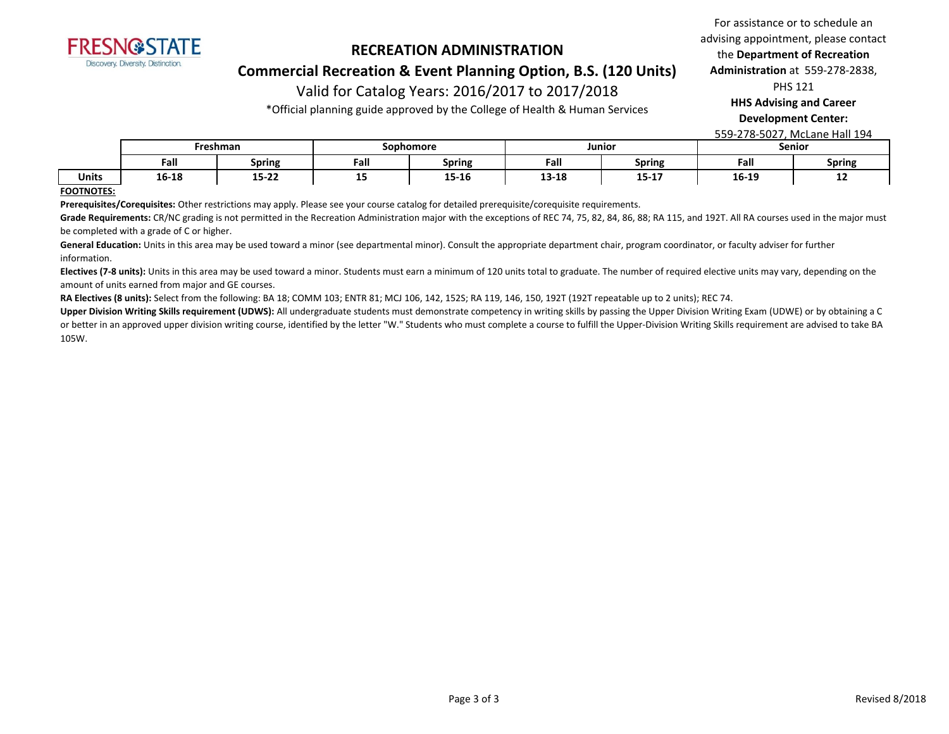

**Commercial Recreation & Event Planning Option, B.S. (120 Units)**

# Valid for Catalog Years: 2016/2017 to 2017/2018

\*Official planning guide approved by the College of Health & Human Services

**Development Center:** 

559-278-5027, McLane Hall 194

|              | Freshman |                    | Sophomore |               | Junior        |                        | Senior       |               |
|--------------|----------|--------------------|-----------|---------------|---------------|------------------------|--------------|---------------|
|              | Fall     | Spring             | Fall      | <b>Spring</b> | Fall          | Spring                 | Fall         | <b>Spring</b> |
| <b>Units</b> | 16-18    | .<br>13-ZZ<br>____ | --        | 15-16<br>___  | 1910<br>T2-T0 | <b>15.17</b><br>13-T V | 16-19<br>___ | --            |

#### **FOOTNOTES:**

**Prerequisites/Corequisites:** Other restrictions may apply. Please see your course catalog for detailed prerequisite/corequisite requirements.

Grade Requirements: CR/NC grading is not permitted in the Recreation Administration major with the exceptions of REC 74, 75, 82, 84, 86, 88; RA 115, and 192T. All RA courses used in the major must be completed with a grade of C or higher.

General Education: Units in this area may be used toward a minor (see departmental minor). Consult the appropriate department chair, program coordinator, or faculty adviser for further information.

Electives (7-8 units): Units in this area may be used toward a minor. Students must earn a minimum of 120 units total to graduate. The number of required elective units may vary, depending on the amount of units earned from major and GE courses.

**RA Electives (8 units):** Select from the following: BA 18; COMM 103; ENTR 81; MCJ 106, 142, 152S; RA 119, 146, 150, 192T (192T repeatable up to 2 units); REC 74.

Upper Division Writing Skills requirement (UDWS): All undergraduate students must demonstrate competency in writing skills by passing the Upper Division Writing Exam (UDWE) or by obtaining a C or better in an approved upper division writing course, identified by the letter "W." Students who must complete a course to fulfill the Upper-Division Writing Skills requirement are advised to take BA 105W.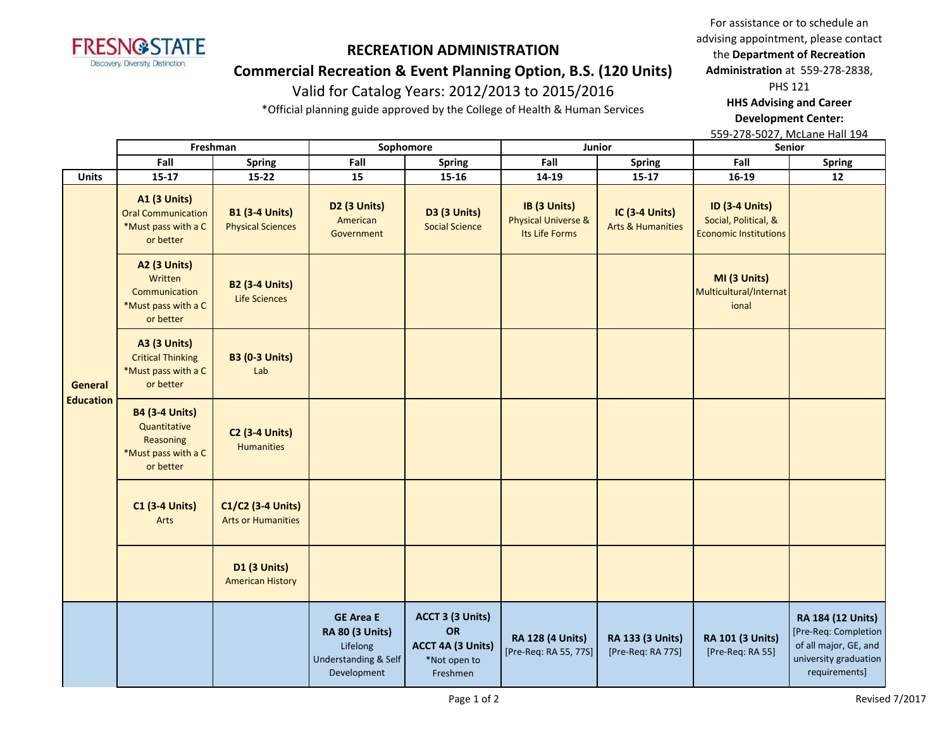

## **Commercial Recreation & Event Planning Option, B.S. (120 Units)**

# Valid for Catalog Years: 2012/2013 to 2015/2016

\*Official planning guide approved by the College of Health & Human Services

For assistance or to schedule an advising appointment, please contact the **Department of Recreation Administration** at 559-278-2838, PHS 121 **HHS Advising and Career** 

**Development Center:** 

|                             |                                                                                        | Freshman                                          | Sophomore                                                                                                |                                                                                | Junior                                                           |                                                       | Senior                                                                 |                                                                                                              |
|-----------------------------|----------------------------------------------------------------------------------------|---------------------------------------------------|----------------------------------------------------------------------------------------------------------|--------------------------------------------------------------------------------|------------------------------------------------------------------|-------------------------------------------------------|------------------------------------------------------------------------|--------------------------------------------------------------------------------------------------------------|
|                             | Fall                                                                                   | <b>Spring</b>                                     | Fall                                                                                                     | Spring                                                                         | Fall                                                             | <b>Spring</b>                                         | Fall                                                                   | <b>Spring</b>                                                                                                |
| <b>Units</b>                | $15 - 17$                                                                              | $15 - 22$                                         | 15                                                                                                       | 15-16                                                                          | 14-19                                                            | $15 - 17$                                             | $16-19$                                                                | 12                                                                                                           |
| General<br><b>Education</b> | <b>A1 (3 Units)</b><br><b>Oral Communication</b><br>*Must pass with a C<br>or better   | <b>B1 (3-4 Units)</b><br><b>Physical Sciences</b> | D2 (3 Units)<br>American<br>Government                                                                   | <b>D3 (3 Units)</b><br><b>Social Science</b>                                   | IB (3 Units)<br><b>Physical Universe &amp;</b><br>Its Life Forms | <b>IC (3-4 Units)</b><br><b>Arts &amp; Humanities</b> | ID (3-4 Units)<br>Social, Political, &<br><b>Economic Institutions</b> |                                                                                                              |
|                             | <b>A2 (3 Units)</b><br>Written<br>Communication<br>*Must pass with a C<br>or better    | <b>B2 (3-4 Units)</b><br><b>Life Sciences</b>     |                                                                                                          |                                                                                |                                                                  |                                                       | MI (3 Units)<br>Multicultural/Internat<br>ional                        |                                                                                                              |
|                             | <b>A3 (3 Units)</b><br><b>Critical Thinking</b><br>*Must pass with a C<br>or better    | <b>B3 (0-3 Units)</b><br>Lab                      |                                                                                                          |                                                                                |                                                                  |                                                       |                                                                        |                                                                                                              |
|                             | <b>B4 (3-4 Units)</b><br>Quantitative<br>Reasoning<br>*Must pass with a C<br>or better | <b>C2 (3-4 Units)</b><br><b>Humanities</b>        |                                                                                                          |                                                                                |                                                                  |                                                       |                                                                        |                                                                                                              |
|                             | <b>C1 (3-4 Units)</b><br>Arts                                                          | C1/C2 (3-4 Units)<br><b>Arts or Humanities</b>    |                                                                                                          |                                                                                |                                                                  |                                                       |                                                                        |                                                                                                              |
|                             |                                                                                        | <b>D1 (3 Units)</b><br><b>American History</b>    |                                                                                                          |                                                                                |                                                                  |                                                       |                                                                        |                                                                                                              |
|                             |                                                                                        |                                                   | <b>GE Area E</b><br><b>RA 80 (3 Units)</b><br>Lifelong<br><b>Understanding &amp; Self</b><br>Development | ACCT 3 (3 Units)<br><b>OR</b><br>ACCT 4A (3 Units)<br>*Not open to<br>Freshmen | <b>RA 128 (4 Units)</b><br>[Pre-Req: RA 55, 77S]                 | RA 133 (3 Units)<br>[Pre-Req: RA 77S]                 | RA 101 (3 Units)<br>[Pre-Req: RA 55]                                   | RA 184 (12 Units)<br>[Pre-Req: Completion<br>of all major, GE, and<br>university graduation<br>requirements] |